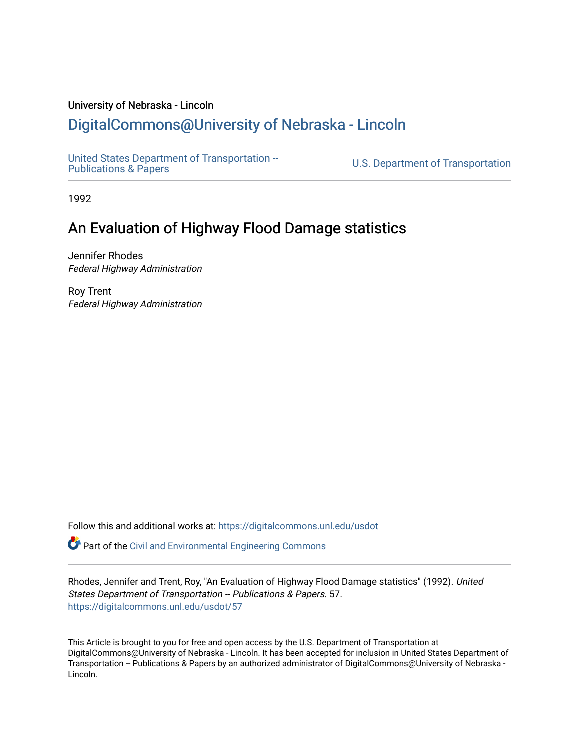# University of Nebraska - Lincoln

# [DigitalCommons@University of Nebraska - Lincoln](https://digitalcommons.unl.edu/)

[United States Department of Transportation --](https://digitalcommons.unl.edu/usdot)<br>Publications & Papers

U.S. Department of Transportation

1992

# An Evaluation of Highway Flood Damage statistics

Jennifer Rhodes Federal Highway Administration

Roy Trent Federal Highway Administration

Follow this and additional works at: [https://digitalcommons.unl.edu/usdot](https://digitalcommons.unl.edu/usdot?utm_source=digitalcommons.unl.edu%2Fusdot%2F57&utm_medium=PDF&utm_campaign=PDFCoverPages) 

Part of the [Civil and Environmental Engineering Commons](http://network.bepress.com/hgg/discipline/251?utm_source=digitalcommons.unl.edu%2Fusdot%2F57&utm_medium=PDF&utm_campaign=PDFCoverPages)

Rhodes, Jennifer and Trent, Roy, "An Evaluation of Highway Flood Damage statistics" (1992). United States Department of Transportation -- Publications & Papers. 57. [https://digitalcommons.unl.edu/usdot/57](https://digitalcommons.unl.edu/usdot/57?utm_source=digitalcommons.unl.edu%2Fusdot%2F57&utm_medium=PDF&utm_campaign=PDFCoverPages)

This Article is brought to you for free and open access by the U.S. Department of Transportation at DigitalCommons@University of Nebraska - Lincoln. It has been accepted for inclusion in United States Department of Transportation -- Publications & Papers by an authorized administrator of DigitalCommons@University of Nebraska -Lincoln.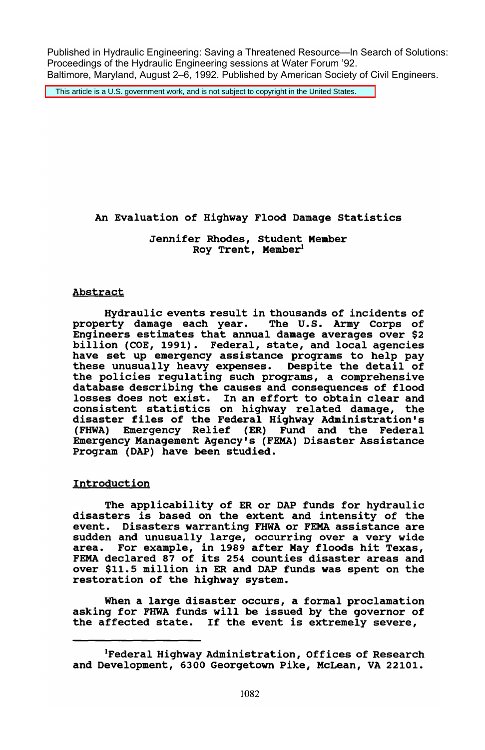Published in Hydraulic Engineering: Saving a Threatened Resource—In Search of Solutions: Proceedings of the Hydraulic Engineering sessions at Water Forum '92. Baltimore, Maryland, August 2–6, 1992. Published by American Society of Civil Engineers.

This article is a U.S. government work, and is not subject to copyright in the United States.

An Evaluation of Highway Flood Damage statistics

Jennifer Rhodes, Student Member Roy Trent, Member<sup>l</sup>

#### Abstract

Hydraulic events result in thousands of incidents of property damage each year. The U.S. Army Corps of Engineers estimates that annual damage averages over \$2 billion (COE, 1991). Federal, state, and local agencies have set up emergency assistance programs to help pay these unusually heavy expenses. Despite the detail of the policies regulating such programs, a comprehensive database describing the causes and consequences of flood losses does not exist. In an effort to obtain clear and consistent statistics on highway related damage, the disaster files of the Federal Highway Administration's (FHWA) Emergency Relief (ER) Fund and the Federal Emergency Management Agency's (FEMA) Disaster Assistance Program (DAP) have been studied.

### Introduction

The applicability of ER or DAP funds for hydraulic disasters is based on the extent and intensity of the event. Disasters warranting FHWA or FEMA assistance are event. Disasters warranting FHWA or FEMA assistance are sudden and unusually large, occurring over a very wide area. For example, in 1989 after May floods hit Texas, area. For example, in 1989 arter may floods nit fexas,<br>FEMA declared 87 of its 254 counties disaster areas and<br>over \$11.5 million in ER and DAP funds was spent on the restoration of the highway system.

When a large disaster occurs, a formal proclamation asking for FHWA funds will be issued by the governor of the affected state. If the event is extremely severe,

<sup>&</sup>lt;sup>1</sup>Federal Highway Administration, Offices of Research and Development, 6300 Georgetown Pike, McLean, VA 22101.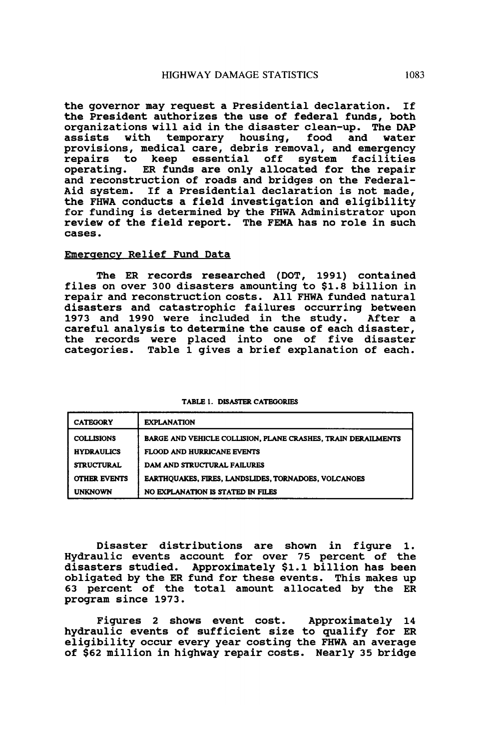the governor may request a Presidential declaration. If the President authorizes the use of federal funds, both organizations will aid in the disaster clean-up. The DAP assists with temporary housing, food and water provisions, medical care, debris removal, and emergency repairs to keep essential off system facilities operating. ER funds are only allocated for the repair and reconstruction of roads and bridges on the Federal-Aid system. If a Presidential declaration is not made, the FHWA conducts a field investigation and eligibility for funding is determined by the FHWA Administrator upon review of the field report. The FEMA has no role in such cases.

### Emergencv Relief Fund Data

The ER records researched (DOT, 1991) contained files on over 300 disasters amounting to \$1.8 billion in repair and reconstruction costs. All FHWA funded natural disasters and catastrophic failures occurring between<br>1973 and 1990 were included in the study. After a 1973 and 1990 were included in the study. careful analysis to determine the cause of each disaster, the records were placed into one of five disaster categories. Table 1 gives a brief explanation of each.

| <b>CATEGORY</b>     | <b>EXPLANATION</b>                                            |
|---------------------|---------------------------------------------------------------|
| <b>COLLISIONS</b>   | BARGE AND VEHICLE COLLISION, PLANE CRASHES, TRAIN DERAILMENTS |
| <b>HYDRAULICS</b>   | FLOOD AND HURRICANE EVENTS                                    |
| <b>STRUCTURAL</b>   | DAM AND STRUCTURAL FAILURES                                   |
| <b>OTHER EVENTS</b> | EARTHOUAKES. FIRES. LANDSLIDES. TORNADOES. VOLCANOES          |
| <b>UNKNOWN</b>      | NO EXPLANATION IS STATED IN FILES                             |

TABLE 1. DISASTER CATEGORIES

Disaster distributions are shown in figure 1. Hydraulic events account for over 75 percent of the disasters studied. Approximately \$1.1 billion has been obligated by the ER fund for these events. This makes up 63 percent of the total amount allocated by the ER program since 1973.

Figures 2 shows event cost. Approximately 14 hydraulic events of sufficient size to qualify for ER eligibility occur every year costing the FHWA an average of \$62 million in highway repair costs. Nearly 35 bridge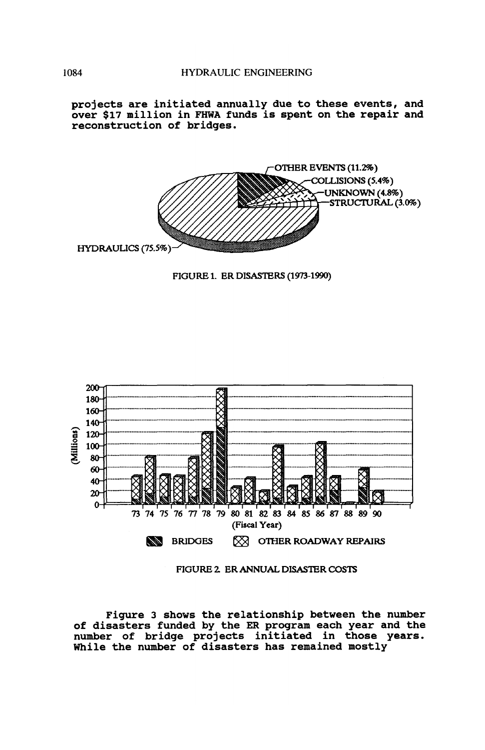projects are initiated annually due to these events, and over \$17 million in FHWA funds is spent on the repair and reconstruction of bridges.







FIGURE 2 ER ANNUAL DISASTER COSTS

Figure 3 shows the relationship between the number of disasters funded by the ER program each year and the number of bridge projects initiated in those years. While the number of disasters has remained mostly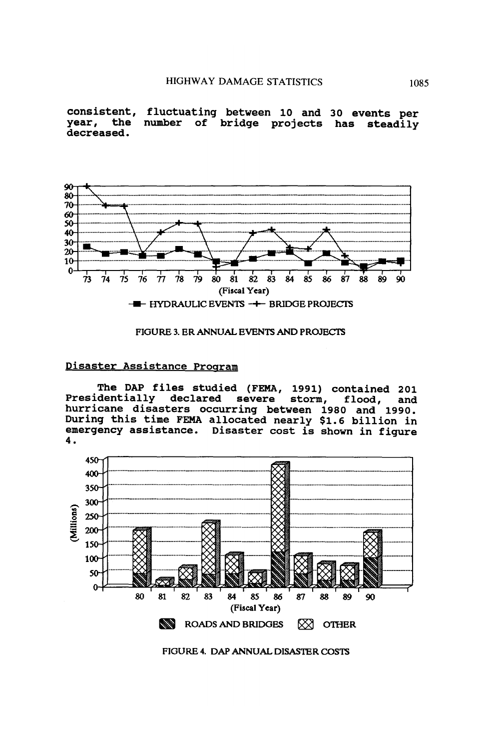consistent, fluctuating between 10 and 30 events per year, the number of bridge projects has steadily decreased.





## Disaster Assistance Program

The DAP files studied (FEMA, 1991) contained 201 Presidentially declared severe storm, flood, and hurricane disasters occurring between 1980 and 1990. During this time FEMA allocated nearly \$1.6 billion in emergency assistance. Disaster cost is shown in figure 4.



FIGURE 4. DAP ANNUAL DISASTER COSTS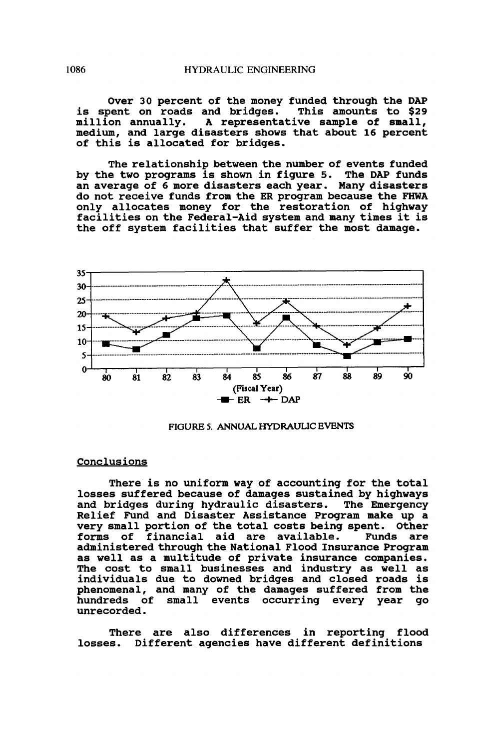Over 30 percent of the money funded through the DAP is spent on roads and bridges. This amounts to \$29 million annually. A representative sample of small, medium, and large disasters shows that about 16 percent of this is allocated for bridges.

The relationship between the number of events funded<br>by the two programs is shown in figure 5. The DAP funds an average of 6 more disasters each year. Many disasters do not receive funds from the ER program because the FHWA only allocates money for the restoration of highway facilities on the Federal-Aid system and many times it is the off system facilities that suffer the most damage.





### Conclusions

There is no uniform way of accounting for the total losses suffered because of damages sustained by highways and bridges during hydraulic disasters. The Emergency Relief Fund and Disaster Assistance Program make up a<br>very small portion of the total costs being spent. Other<br>forms of financial aid are available. Funds are forms of financial aid are available. Funds are administered through the National Flood Insurance Program as well as a multitude of private insurance companies. The cost to small businesses and industry as well as individuals due to downed bridges and closed roads is phenomenal, and many of the damages suffered from the hundreds of small events occurring every year go unrecorded.

There are also differences in reporting flood losses. Different agencies have different definitions